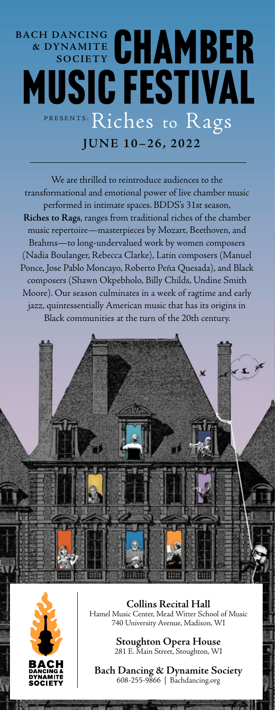## **BACH DANCING & DYNA M I T E SOCIETY** PRESENTS: Riches to Rags ACH DANCING CHAMBER Music Festival

**JUNE 10–26, 2022**

We are thrilled to reintroduce audiences to the transformational and emotional power of live chamber music performed in intimate spaces. BDDS's 31st season, **Riches to Rags**, ranges from traditional riches of the chamber music repertoire—masterpieces by Mozart, Beethoven, and Brahms—to long-undervalued work by women composers (Nadia Boulanger, Rebecca Clarke), Latin composers (Manuel Ponce, Jose Pablo Moncayo, Roberto Peña Quesada), and Black composers (Shawn Okpebholo, Billy Childs, Undine Smith Moore). Our season culminates in a week of ragtime and early jazz, quintessentially American music that has its origins in Black communities at the turn of the 20th century.





**Collins Recital Hall** Hamel Music Center, Mead Witter School of Music 740 University Avenue, Madison, WI

> **Stoughton Opera House** 281 E. Main Street, Stoughton, WI

**Bach Dancing & Dynamite Society** 608-255-9866 | Bachdancing.org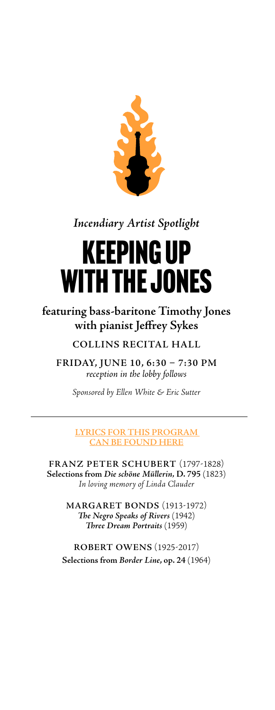

*Incendiary Artist Spotlight*

# Keeping Up with the Jones

**featuring bass-baritone Timothy Jones with pianist Jeffrey Sykes**

**COLLINS RECITAL HALL**

**FRIDAY, JUNE 10, 6:30 – 7:30 PM**  *reception in the lobby follows*

*Sponsored by Ellen White & Eric Sutter*

**[LYRICS FOR THIS PROGRAM](https://bachdancing.org/wp-content/uploads/2022/06/friday-june-10.pdf)  [CAN BE FOUND HERE](https://bachdancing.org/wp-content/uploads/2022/06/friday-june-10.pdf)**

**FRANZ PETER SCHUBERT** (1797-1828) **Selections from** *Die schöne Müllerin,* **D. 795** (1823) *In loving memory of Linda Clauder*

> **MARGARET BONDS** (1913-1972) *The Negro Speaks of Rivers* (1942) *Three Dream Portraits* (1959)

**ROBERT OWENS** (1925-2017) **Selections from** *Border Line***, op. 24** (1964)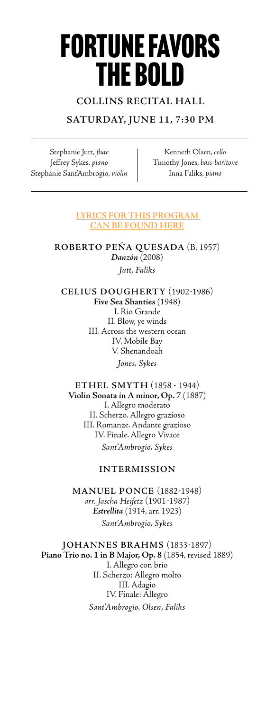# Fortune Favors the Bold

### **COLLINS RECITAL HALL**

### **SATURDAY, JUNE 11, 7:30 PM**

Stephanie Jutt, *flute* Jeffrey Sykes, *piano* Stephanie Sant'Ambrogio, *violin*

Kenneth Olsen, *cello* Timothy Jones, *bass-baritone* Inna Faliks, *piano*

#### **[LYRICS FOR THIS PROGRAM](https://bachdancing.org/wp-content/uploads/2022/06/saturday-june-11.pdf)  [CAN BE FOUND HERE](https://bachdancing.org/wp-content/uploads/2022/06/saturday-june-11.pdf)**

**ROBERTO PEÑA QUESADA** (B. 1957) *Danzón* (2008) *Jutt, Faliks*

**CELIUS DOUGHERTY** (1902-1986) **Five Sea Shanties** (1948) I. Rio Grande II. Blow, ye winds III. Across the western ocean IV. Mobile Bay V. Shenandoah *Jones, Sykes*

**ETHEL SMYTH** (1858 - 1944) **Violin Sonata in A minor, Op. 7** (1887) I. Allegro moderato II. Scherzo. Allegro grazioso III. Romanze. Andante grazioso IV. Finale. Allegro Vivace *Sant'Ambrogio, Sykes*

#### **INTERMISSION**

**MANUEL PONCE** (1882-1948) *arr. Jascha Heifetz* (1901-1987) *Estrellita* (1914, arr. 1923) *Sant'Ambrogio, Sykes*

**JOHANNES BRAHMS** (1833-1897) **Piano Trio no. 1 in B Major, Op. 8** (1854, revised 1889) I. Allegro con brio II. Scherzo: Allegro molto III. Adagio IV. Finale: Allegro *Sant'Ambrogio, Olsen, Faliks*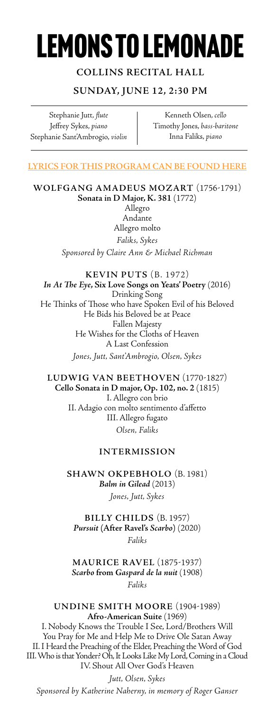# lemons to Lemonade

### **COLLINS RECITAL HALL**

### **SUNDAY, JUNE 12, 2:30 PM**

Stephanie Jutt, *flute* Jeffrey Sykes, *piano* Stephanie Sant'Ambrogio, *violin*

Kenneth Olsen, *cello* Timothy Jones, *bass-baritone* Inna Faliks, *piano*

#### **[LYRICS FOR THIS PROGRAM CAN BE FOUND HERE](https://bachdancing.org/wp-content/uploads/2022/06/sunday-june-12.pdf)**

**WOLFGANG AMADEUS MOZART** (1756-1791) **Sonata in D Major, K. 381** (1772) Allegro Andante Allegro molto *Faliks, Sykes*

*Sponsored by Claire Ann & Michael Richman*

**KEVIN PUTS** (B. 1972) *In At The Eye***, Six Love Songs on Yeats' Poetry** (2016) Drinking Song He Thinks of Those who have Spoken Evil of his Beloved He Bids his Beloved be at Peace Fallen Majesty He Wishes for the Cloths of Heaven A Last Confession

*Jones, Jutt, Sant'Ambrogio, Olsen, Sykes*

**LUDWIG VAN BEETHOVEN** (1770-1827) **Cello Sonata in D major, Op. 102, no. 2** (1815) I. Allegro con brio II. Adagio con molto sentimento d'affetto III. Allegro fugato

*Olsen, Faliks*

#### **INTERMISSION**

**SHAWN OKPEBHOLO** (B. 1981) *Balm in Gilead* (2013) *Jones, Jutt, Sykes*

**BILLY CHILDS** (B. 1957) *Pursuit* **(After Ravel's** *Scarbo***)** (2020) *Faliks*

**MAURICE RAVEL** (1875-1937) *Scarbo* **from** *Gaspard de la nuit* (1908) *Faliks*

**UNDINE SMITH MOORE** (1904-1989) **Afro-American Suite** (1969)

I. Nobody Knows the Trouble I See, Lord/Brothers Will You Pray for Me and Help Me to Drive Ole Satan Away II. I Heard the Preaching of the Elder, Preaching the Word of God III. Who is that Yonder? Oh, It Looks Like My Lord, Coming in a Cloud IV. Shout All Over God's Heaven

*Jutt, Olsen, Sykes Sponsored by Katherine Naherny, in memory of Roger Ganser*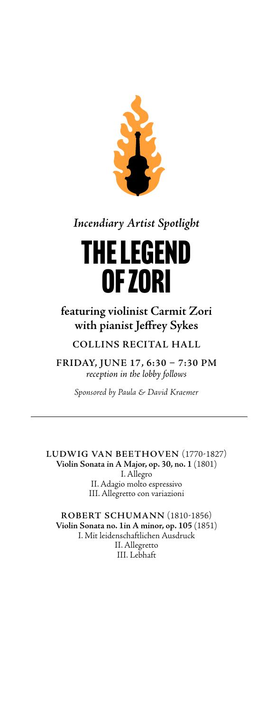

*Incendiary Artist Spotlight*

# The legend of Zori

## **featuring violinist Carmit Zori with pianist Jeffrey Sykes**

**COLLINS RECITAL HALL**

**FRIDAY, JUNE 17, 6:30 – 7:30 PM**  *reception in the lobby follows*

*Sponsored by Paula & David Kraemer*

**LUDWIG VAN BEETHOVEN** (1770-1827) **Violin Sonata in A Major, op. 30, no. 1** (1801) I. Allegro II. Adagio molto espressivo III. Allegretto con variazioni

**ROBERT SCHUMANN** (1810-1856) **Violin Sonata no. 1in A minor, op. 105** (1851) I. Mit leidenschaftlichen Ausdruck II. Allegretto III. Lebhaft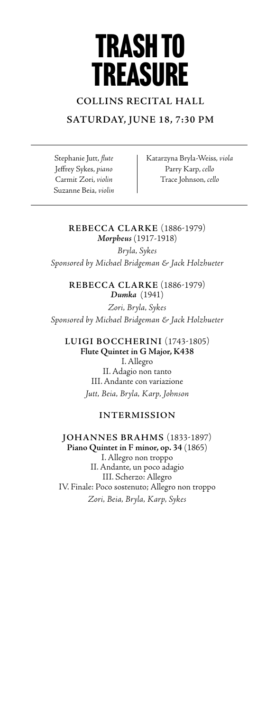# trash to **TREASURE**

### **COLLINS RECITAL HALL**

### **SATURDAY, JUNE 18, 7:30 PM**

Stephanie Jutt, *flute* Jeffrey Sykes, *piano* Carmit Zori, *violin* Suzanne Beia, *violin* Katarzyna Bryla-Weiss, *viola* Parry Karp, *cello* Trace Johnson, *cello*

#### **REBECCA CLARKE** (1886-1979) *Morpheus* (1917-1918)

*Bryla, Sykes Sponsored by Michael Bridgeman & Jack Holzhueter*

> **REBECCA CLARKE** (1886-1979) *Dumka* (1941)

*Zori, Bryla, Sykes Sponsored by Michael Bridgeman & Jack Holzhueter*

**LUIGI BOCCHERINI** (1743-1805) **Flute Quintet in G Major, K438** I. Allegro II. Adagio non tanto III. Andante con variazione *Jutt, Beia, Bryla, Karp, Johnson*

#### **INTERMISSION**

**JOHANNES BRAHMS** (1833-1897) **Piano Quintet in F minor, op. 34** (1865) I. Allegro non troppo II. Andante, un poco adagio III. Scherzo: Allegro IV. Finale: Poco sostenuto; Allegro non troppo *Zori, Beia, Bryla, Karp, Sykes*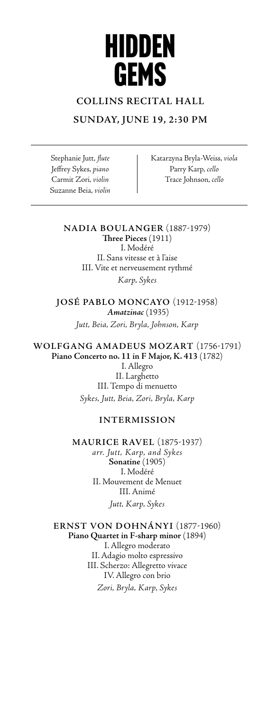# hidden **GEMS**

### **COLLINS RECITAL HALL**

### **SUNDAY, JUNE 19, 2:30 PM**

Stephanie Jutt, *flute* Jeffrey Sykes, *piano* Carmit Zori, *violin* Suzanne Beia, *violin* Katarzyna Bryla-Weiss, *viola* Parry Karp, *cello* Trace Johnson, *cello*

**NADIA BOULANGER** (1887-1979) **Three Pieces** (1911)

I. Modéré II. Sans vitesse et à l'aise III. Vite et nerveusement rythmé *Karp, Sykes*

**JOSÉ PABLO MONCAYO** (1912-1958) *Amatzinac* (1935) *Jutt, Beia, Zori, Bryla, Johnson, Karp*

**WOLFGANG AMADEUS MOZART** (1756-1791) **Piano Concerto no. 11 in F Major, K. 413** (1782) I. Allegro II. Larghetto III. Tempo di menuetto *Sykes, Jutt, Beia, Zori, Bryla, Karp*

### **INTERMISSION**

**MAURICE RAVEL** (1875-1937) *arr. Jutt, Karp, and Sykes* **Sonatine** (1905) I. Modéré II. Mouvement de Menuet III. Animé *Jutt, Karp, Sykes*

**ERNST VON DOHNÁNYI** (1877-1960) **Piano Quartet in F-sharp minor** (1894) I. Allegro moderato II. Adagio molto espressivo III. Scherzo: Allegretto vivace IV. Allegro con brio *Zori, Bryla, Karp, Sykes*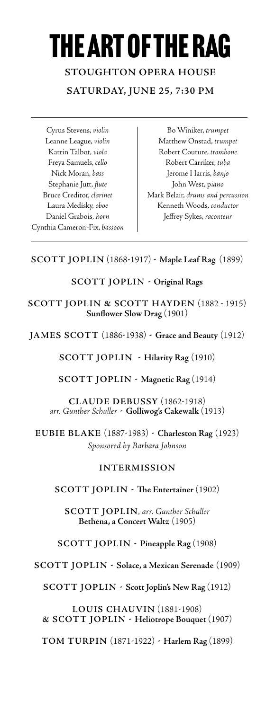# the art of the rag

**STOUGHTON OPERA HOUSE SATURDAY, JUNE 25, 7:30 PM**

Cyrus Stevens, *violin* Leanne League, *violin* Katrin Talbot, *viola* Freya Samuels, *cello* Nick Moran, *bass* Stephanie Jutt, *flute* Bruce Creditor, *clarinet* Laura Medisky, *oboe* Daniel Grabois, *horn* Cynthia Cameron-Fix, *bassoon*

Bo Winiker, *trumpet* Matthew Onstad, *trumpet* Robert Couture, *trombone* Robert Carriker, *tuba* Jerome Harris, *banjo* John West, p*iano* Mark Belair, *drums and percussion* Kenneth Woods, *conductor*  Jeffrey Sykes, *raconteur*

### **SCOTT JOPLIN** (1868-1917) **- Maple Leaf Rag** (1899)

### **SCOTT JOPLIN - Original Rags**

**SCOTT JOPLIN & SCOTT HAYDEN** (1882 - 1915) **Sunflower Slow Drag** (1901)

**JAMES SCOTT** (1886-1938) **- Grace and Beauty** (1912)

**SCOTT JOPLIN - Hilarity Rag** (1910)

**SCOTT JOPLIN - Magnetic Rag** (1914)

**CLAUDE DEBUSSY** (1862-1918) *arr. Gunther Schuller* **- Golliwog's Cakewalk** (1913)

**EUBIE BLAKE** (1887-1983) **- Charleston Rag** (1923) *Sponsored by Barbara Johnson*

#### **INTERMISSION**

**SCOTT JOPLIN - The Entertainer** (1902)

**SCOTT JOPLIN***, arr. Gunther Schuller* **Bethena, a Concert Waltz** (1905)

**SCOTT JOPLIN - Pineapple Rag** (1908)

**SCOTT JOPLIN - Solace, a Mexican Serenade** (1909)

**SCOTT JOPLIN - Scott Joplin's New Rag** (1912)

**LOUIS CHAUVIN** (1881-1908) **& SCOTT JOPLIN - Heliotrope Bouquet** (1907)

**TOM TURPIN** (1871-1922) **- Harlem Rag** (1899)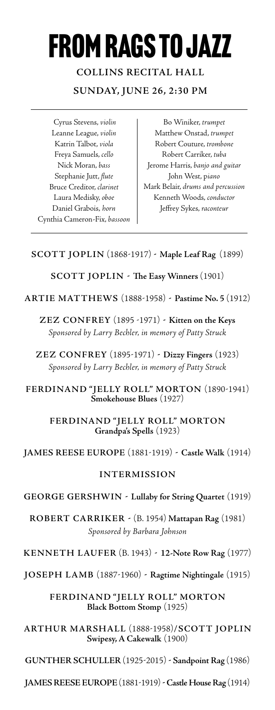# from rags to Jazz

**COLLINS RECITAL HALL SUNDAY, JUNE 26, 2:30 PM**

Cyrus Stevens, *violin* Leanne League, *violin* Katrin Talbot, *viola* Freya Samuels, *cello* Nick Moran, *bass* Stephanie Jutt, *flute* Bruce Creditor, *clarinet* Laura Medisky, *oboe* Daniel Grabois, *horn* Cynthia Cameron-Fix, *bassoon*

Bo Winiker, *trumpet* Matthew Onstad, *trumpet* Robert Couture, *trombone* Robert Carriker, *tuba* Jerome Harris, *banjo and guitar* John West, p*iano* Mark Belair, *drums and percussion* Kenneth Woods, *conductor*  Jeffrey Sykes, *raconteur*

### **SCOTT JOPLIN** (1868-1917) **- Maple Leaf Rag** (1899)

**SCOTT JOPLIN - The Easy Winners** (1901)

**ARTIE MATTHEWS** (1888-1958) **- Pastime No. 5** (1912)

**ZEZ CONFREY** (1895 -1971) **- Kitten on the Keys** *Sponsored by Larry Bechler, in memory of Patty Struck*

**ZEZ CONFREY** (1895-1971) **- Dizzy Fingers** (1923) *Sponsored by Larry Bechler, in memory of Patty Struck*

**FERDINAND " JELLY ROLL" MORTON** (1890-1941) **Smokehouse Blues** (1927)

> **FERDINAND " JELLY ROLL" MORTON Grandpa's Spells** (1923)

### **JAMES REESE EUROPE** (1881-1919) **- Castle Walk** (1914)

### **INTERMISSION**

**GEORGE GERSHWIN - Lullaby for String Quartet** (1919)

**ROBERT CARRIKER -** (B. 1954) **Mattapan Rag** (1981) *Sponsored by Barbara Johnson*

**KENNETH LAUFER** (B. 1943) **- 12-Note Row Rag** (1977)

**JOSEPH LAMB** (1887-1960) **- Ragtime Nightingale** (1915)

#### **FERDINAND "JELLY ROLL" MORTON Black Bottom Stomp** (1925)

**ARTHUR MARSHALL** (1888-1958)**/SCOTT JOPLIN Swipesy, A Cakewalk** (1900)

**GUNTHER SCHULLER** (1925-2015) **- Sandpoint Rag** (1986)

**JAMES REESE EUROPE** (1881-1919) **- Castle House Rag** (1914)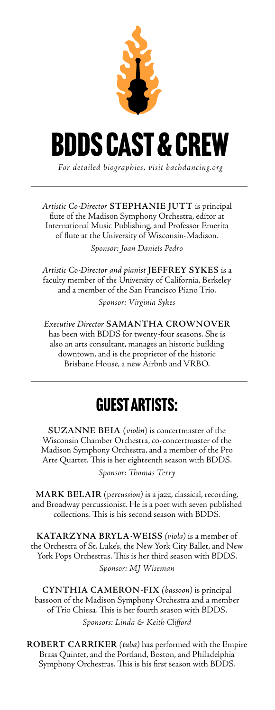

*Artistic Co-Director* **STEPHANIE JUTT** is principal flute of the Madison Symphony Orchestra, editor at International Music Publishing, and Professor Emerita of flute at the University of Wisconsin-Madison. *Sponsor: Joan Daniels Pedro*

*Artistic Co-Director and pianist* **JEFFREY SYKES** is a faculty member of the University of California, Berkeley and a member of the San Francisco Piano Trio.

*Sponsor: Virginia Sykes*

*Executive Director* **SAMANTHA CROWNOVER** has been with BDDS for twenty-four seasons. She is also an arts consultant, manages an historic building downtown, and is the proprietor of the historic Brisbane House, a new Airbnb and VRBO.

## Guest Artists:

**SUZANNE BEIA (***violin*) is concertmaster of the Wisconsin Chamber Orchestra, co-concertmaster of the Madison Symphony Orchestra, and a member of the Pro Arte Quartet. This is her eighteenth season with BDDS.

*Sponsor: Thomas Terry*

**MARK BELAIR** (p*ercussion)* is a jazz, classical, recording, and Broadway percussionist. He is a poet with seven published collections. This is his second season with BDDS.

**KATARZYNA BRYLA-WEISS** *(viola)* is a member of the Orchestra of St. Luke's, the New York City Ballet, and New York Pops Orchestras. This is her third season with BDDS. *Sponsor: MJ Wiseman*

**CYNTHIA CAMERON-FIX** *(bassoon)* is principal bassoon of the Madison Symphony Orchestra and a member of Trio Chiesa. This is her fourth season with BDDS. *Sponsors: Linda & Keith Clifford*

**ROBERT CARRIKER** *(tuba)* has performed with the Empire Brass Quintet, and the Portland, Boston, and Philadelphia Symphony Orchestras. This is his first season with BDDS.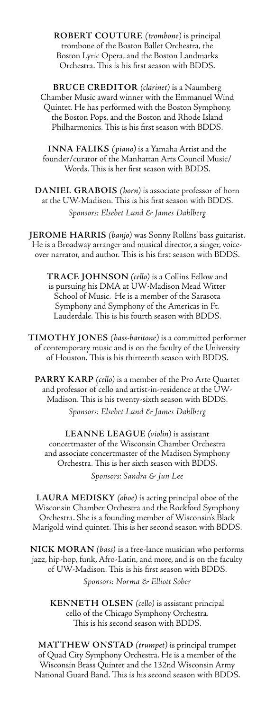**ROBERT COUTURE** *(trombone)* is principal trombone of the Boston Ballet Orchestra, the Boston Lyric Opera, and the Boston Landmarks Orchestra. This is his first season with BDDS.

**BRUCE CREDITOR** *(clarinet)* is a Naumberg Chamber Music award winner with the Emmanuel Wind Quintet. He has performed with the Boston Symphony, the Boston Pops, and the Boston and Rhode Island Philharmonics. This is his first season with BDDS.

**INNA FALIKS** *(piano)* is a Yamaha Artist and the founder/curator of the Manhattan Arts Council Music/ Words. This is her first season with BDDS.

**DANIEL GRABOIS** *(horn)* is associate professor of horn at the UW-Madison. This is his first season with BDDS. *Sponsors: Elsebet Lund & James Dahlberg*

**JEROME HARRIS** *(banjo)* was Sonny Rollins' bass guitarist. He is a Broadway arranger and musical director, a singer, voiceover narrator, and author. This is his first season with BDDS.

**TRACE JOHNSON** *(cello)* is a Collins Fellow and is pursuing his DMA at UW-Madison Mead Witter School of Music. He is a member of the Sarasota Symphony and Symphony of the Americas in Ft. Lauderdale. This is his fourth season with BDDS.

**TIMOTHY JONES** *(bass-baritone)* is a committed performer of contemporary music and is on the faculty of the University of Houston. This is his thirteenth season with BDDS.

**PARRY KARP** *(cello)* is a member of the Pro Arte Quartet and professor of cello and artist-in-residence at the UW-Madison. This is his twenty-sixth season with BDDS.

*Sponsors: Elsebet Lund & James Dahlberg*

**LEANNE LEAGUE** *(violin)* is assistant concertmaster of the Wisconsin Chamber Orchestra and associate concertmaster of the Madison Symphony Orchestra. This is her sixth season with BDDS.

*Sponsors: Sandra & Jun Lee*

**LAURA MEDISKY** *(oboe)* is acting principal oboe of the Wisconsin Chamber Orchestra and the Rockford Symphony Orchestra. She is a founding member of Wisconsin's Black Marigold wind quintet. This is her second season with BDDS.

**NICK MORAN** *(bass)* is a free-lance musician who performs jazz, hip-hop, funk, Afro-Latin, and more, and is on the faculty of UW-Madison. This is his first season with BDDS.

*Sponsors: Norma & Elliott Sober*

**KENNETH OLSEN** *(cello)* is assistant principal cello of the Chicago Symphony Orchestra. This is his second season with BDDS.

**MATTHEW ONSTAD** *(trumpet)* is principal trumpet of Quad City Symphony Orchestra. He is a member of the Wisconsin Brass Quintet and the 132nd Wisconsin Army National Guard Band. This is his second season with BDDS.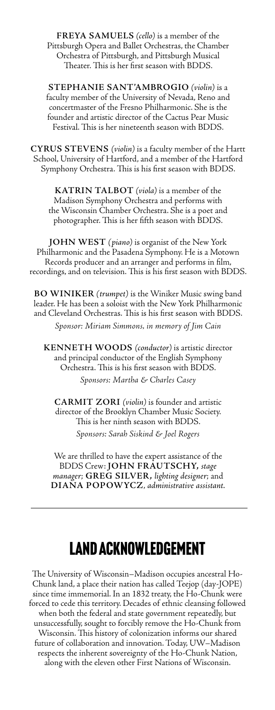**FREYA SAMUELS** *(cello)* is a member of the Pittsburgh Opera and Ballet Orchestras, the Chamber Orchestra of Pittsburgh, and Pittsburgh Musical Theater. This is her first season with BDDS.

**STEPHANIE SANT'AMBROGIO** *(violin)* is a faculty member of the University of Nevada, Reno and concertmaster of the Fresno Philharmonic. She is the founder and artistic director of the Cactus Pear Music Festival. This is her nineteenth season with BDDS.

**CYRUS STEVENS** *(violin)* is a faculty member of the Hartt School, University of Hartford, and a member of the Hartford Symphony Orchestra. This is his first season with BDDS.

**KATRIN TALBOT** *(viola)* is a member of the Madison Symphony Orchestra and performs with the Wisconsin Chamber Orchestra. She is a poet and photographer. This is her fifth season with BDDS.

**JOHN WEST** *(piano)* is organist of the New York Philharmonic and the Pasadena Symphony. He is a Motown Records producer and an arranger and performs in film, recordings, and on television. This is his first season with BDDS.

**BO WINIKER** *(trumpet)* is the Winiker Music swing band leader. He has been a soloist with the New York Philharmonic and Cleveland Orchestras. This is his first season with BDDS.

*Sponsor: Miriam Simmons, in memory of Jim Cain*

**KENNETH WOODS** *(conductor)* is artistic director and principal conductor of the English Symphony Orchestra. This is his first season with BDDS. *Sponsors: Martha & Charles Casey*

**CARMIT ZORI** *(violin)* is founder and artistic director of the Brooklyn Chamber Music Society. This is her ninth season with BDDS. *Sponsors: Sarah Siskind & Joel Rogers*

We are thrilled to have the expert assistance of the BDDS Crew: **JOHN FRAUTSCHY,** *stage manager*; **GREG SILVER,** *lighting designer*; and **DIANA POPOWYCZ**, *administrative assistant.*

## Land Acknowledgement

The University of Wisconsin–Madison occupies ancestral Ho-Chunk land, a place their nation has called Teejop (day-JOPE) since time immemorial. In an 1832 treaty, the Ho-Chunk were forced to cede this territory. Decades of ethnic cleansing followed when both the federal and state government repeatedly, but unsuccessfully, sought to forcibly remove the Ho-Chunk from Wisconsin. This history of colonization informs our shared future of collaboration and innovation. Today, UW–Madison respects the inherent sovereignty of the Ho-Chunk Nation, along with the eleven other First Nations of Wisconsin.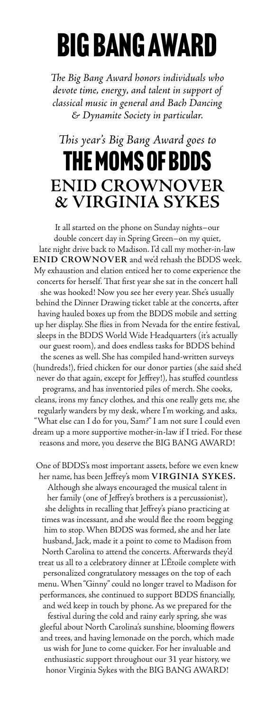# BIG BANG AWARD

*The Big Bang Award honors individuals who devote time, energy, and talent in support of classical music in general and Bach Dancing & Dynamite Society in particular.* 

## *This year's Big Bang Award goes to*  THE MOMS OF BDDS **ENID CROWNOVER & VIRGINIA SYKES**

It all started on the phone on Sunday nights–our double concert day in Spring Green–on my quiet, late night drive back to Madison. I'd call my mother-in-law **ENID CROWNOVER** and we'd rehash the BDDS week. My exhaustion and elation enticed her to come experience the concerts for herself. That first year she sat in the concert hall she was hooked! Now you see her every year. She's usually behind the Dinner Drawing ticket table at the concerts, after having hauled boxes up from the BDDS mobile and setting up her display. She flies in from Nevada for the entire festival, sleeps in the BDDS World Wide Headquarters (it's actually our guest room), and does endless tasks for BDDS behind the scenes as well. She has compiled hand-written surveys (hundreds!), fried chicken for our donor parties (she said she'd never do that again, except for Jeffrey!), has stuffed countless programs, and has inventoried piles of merch. She cooks, cleans, irons my fancy clothes, and this one really gets me, she regularly wanders by my desk, where I'm working, and asks, "What else can I do for you, Sam?" I am not sure I could even dream up a more supportive mother-in-law if I tried. For these reasons and more, you deserve the BIG BANG AWARD!

One of BDDS's most important assets, before we even knew her name, has been Jeffrey's mom **VIRGINIA SYKES.** Although she always encouraged the musical talent in her family (one of Jeffrey's brothers is a percussionist), she delights in recalling that Jeffrey's piano practicing at times was incessant, and she would flee the room begging him to stop. When BDDS was formed, she and her late husband, Jack, made it a point to come to Madison from North Carolina to attend the concerts. Afterwards they'd treat us all to a celebratory dinner at L'Étoile complete with personalized congratulatory messages on the top of each menu. When "Ginny" could no longer travel to Madison for performances, she continued to support BDDS financially, and we'd keep in touch by phone. As we prepared for the festival during the cold and rainy early spring, she was

gleeful about North Carolina's sunshine, blooming flowers and trees, and having lemonade on the porch, which made us wish for June to come quicker. For her invaluable and enthusiastic support throughout our 31 year history, we honor Virginia Sykes with the BIG BANG AWARD!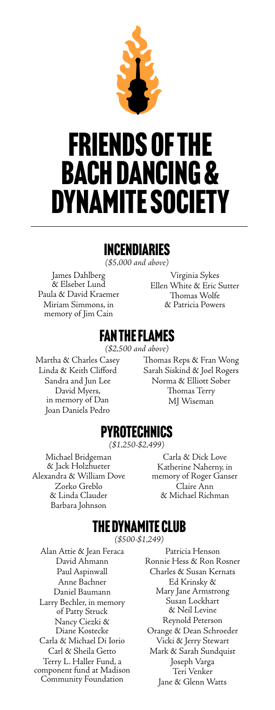

# FRIENDS OF THE BACH DANCING & DYNAMITE SOCIETY

## Incendiaries

*(\$5,000 and above)*

James Dahlberg & Elsebet Lund Paula & David Kraemer Miriam Simmons, in memory of Jim Cain

Virginia Sykes Ellen White & Eric Sutter Thomas Wolfe & Patricia Powers

## Fan the Flames

*(\$2,500 and above)* 

Martha & Charles Casey Linda & Keith Clifford Sandra and Jun Lee David Myers, in memory of Dan Joan Daniels Pedro

Thomas Reps & Fran Wong Sarah Siskind & Joel Rogers Norma & Elliott Sober Thomas Terry MJ Wiseman

## Pyrotechnics

*(\$1,250-\$2,499)*

Michael Bridgeman & Jack Holzhueter Alexandra & William Dove Zorko Greblo & Linda Clauder Barbara Johnson

Carla & Dick Love Katherine Naherny, in memory of Roger Ganser Claire Ann & Michael Richman

## The Dynamite Club

*(\$500-\$1,249)*

Alan Attie & Jean Feraca David Ahmann Paul Aspinwall Anne Bachner Daniel Baumann Larry Bechler, in memory of Patty Struck Nancy Ciezki & Diane Kostecke Carla & Michael Di Iorio Carl & Sheila Getto Terry L. Haller Fund, a component fund at Madison Community Foundation

Patricia Henson Ronnie Hess & Ron Rosner Charles & Susan Kernats Ed Krinsky & Mary Jane Armstrong Susan Lockhart & Neil Levine Reynold Peterson Orange & Dean Schroeder Vicki & Jerry Stewart Mark & Sarah Sundquist Joseph Varga Teri Venker Jane & Glenn Watts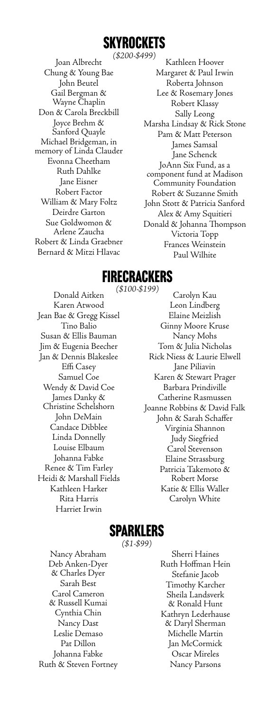# **SKYROCKETS**

*(\$200-\$499)* Joan Albrecht Chung & Young Bae John Beutel Gail Bergman & Wayne Chaplin Don & Carola Breckbill Joyce Brehm & Sanford Quayle Michael Bridgeman, in memory of Linda Clauder Evonna Cheetham Ruth Dahlke Jane Eisner Robert Factor William & Mary Foltz Deirdre Garton Sue Goldwomon & Arlene Zaucha Robert & Linda Graebner Bernard & Mitzi Hlavac

Kathleen Hoover Margaret & Paul Irwin Roberta Johnson Lee & Rosemary Jones Robert Klassy Sally Leong Marsha Lindsay & Rick Stone Pam & Matt Peterson James Samsal Jane Schenck JoAnn Six Fund, as a component fund at Madison Community Foundation Robert & Suzanne Smith John Stott & Patricia Sanford Alex & Amy Squitieri Donald & Johanna Thompson Victoria Topp Frances Weinstein Paul Wilhite

## **FIRECRACKERS**

*(\$100-\$199)* Donald Aitken Karen Atwood Jean Bae & Gregg Kissel Tino Balio Susan & Ellis Bauman Jim & Eugenia Beecher Jan & Dennis Blakeslee Effi Casey Samuel Coe Wendy & David Coe James Danky & Christine Schelshorn John DeMain Candace Dibblee Linda Donnelly Louise Elbaum Johanna Fabke Renee & Tim Farley Heidi & Marshall Fields Kathleen Harker Rita Harris Harriet Irwin

Carolyn Kau Leon Lindberg Elaine Meizlish Ginny Moore Kruse Nancy Mohs Tom & Julia Nicholas Rick Niess & Laurie Elwell Jane Piliavin Karen & Stewart Prager Barbara Prindiville Catherine Rasmussen Joanne Robbins & David Falk John & Sarah Schaffer Virginia Shannon Judy Siegfried Carol Stevenson Elaine Strassburg Patricia Takemoto & Robert Morse Katie & Ellis Waller Carolyn White

## Sparklers

*(\$1-\$99)*

Nancy Abraham Deb Anken-Dyer & Charles Dyer Sarah Best Carol Cameron & Russell Kumai Cynthia Chin Nancy Dast Leslie Demaso Pat Dillon Johanna Fabke Ruth & Steven Fortney

Sherri Haines Ruth Hoffman Hein Stefanie Jacob Timothy Karcher Sheila Landsverk & Ronald Hunt Kathryn Lederhause & Daryl Sherman Michelle Martin Jan McCormick Oscar Mireles Nancy Parsons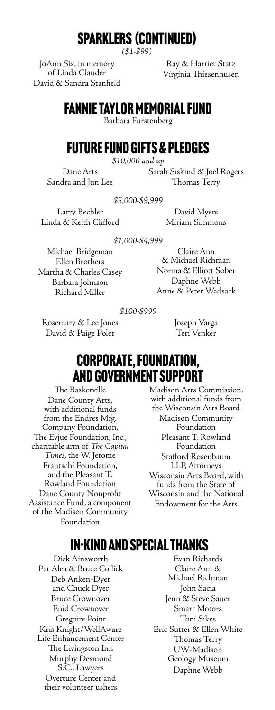## Sparklers (continued)

*(\$1-\$99)*

JoAnn Six, in memory of Linda Clauder David & Sandra Stanfield

Ray & Harriet Statz Virginia Thiesenhusen

## Fannie Taylor Memorial Fund

Barbara Furstenberg

## Future Fund Gifts & Pledges

*\$10,000 and up*

Dane Arts Sandra and Jun Lee Sarah Siskind & Joel Rogers Thomas Terry

*\$5,000-\$9,999*

Larry Bechler Linda & Keith Clifford

David Myers Miriam Simmons

*\$1,000-\$4,999*

Michael Bridgeman Ellen Brothers Martha & Charles Casey Barbara Johnson Richard Miller

Claire Ann & Michael Richman Norma & Elliott Sober Daphne Webb Anne & Peter Wadsack

*\$100-\$999*

Rosemary & Lee Jones David & Paige Polet

Joseph Varga Teri Venker

## Corporate, Foundation, and Government Support

The Baskerville Dane County Arts, with additional funds from the Endres Mfg. Company Foundation, The Evjue Foundation, Inc., charitable arm of *The Capital Times*, the W. Jerome Frautschi Foundation, and the Pleasant T. Rowland Foundation Dane County Nonprofit Assistance Fund, a component of the Madison Community Foundation

Madison Arts Commission, with additional funds from the Wisconsin Arts Board Madison Community Foundation Pleasant T. Rowland Foundation Stafford Rosenbaum LLP, Attorneys Wisconsin Arts Board, with funds from the State of Wisconsin and the National Endowment for the Arts

## In-Kind and Special Thanks

Dick Ainsworth Pat Alea & Bruce Collick Deb Anken-Dyer and Chuck Dyer Bruce Crownover Enid Crownover Gregoire Point Kris Knight/WellAware Life Enhancement Center The Livingston Inn Murphy Desmond S.C., Lawyers Overture Center and their volunteer ushers

Evan Richards Claire Ann & Michael Richman John Sacia Jenn & Steve Sauer Smart Motors Toni Sikes Eric Sutter & Ellen White Thomas Terry UW-Madison Geology Museum Daphne Webb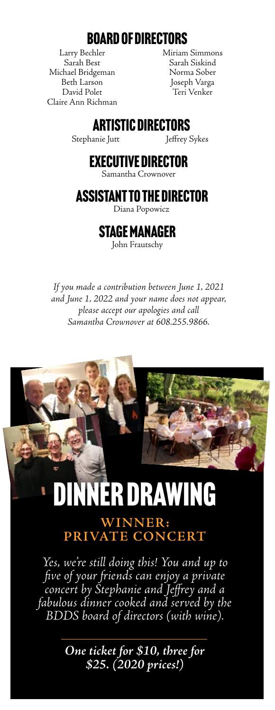## Board of Directors

Larry Bechler Sarah Best Michael Bridgeman Beth Larson David Polet Claire Ann Richman Miriam Simmons Sarah Siskind Norma Sober Joseph Varga Teri Venker

## Artistic Directors

Stephanie Jutt Jeffrey Sykes

## Executive Director

Samantha Crownover

## Assistant to the Director

Diana Popowicz

## Stage Manager

John Frautschy

*If you made a contribution between June 1, 2021 and June 1, 2022 and your name does not appear, please accept our apologies and call Samantha Crownover at 608.255.9866.*



## **WINNER: PRIVATE CONCERT**

*Yes, we're still doing this! You and up to five of your friends can enjoy a private concert by Stephanie and Jeffrey and a fabulous dinner cooked and served by the BDDS board of directors (with wine).* 

> *One ticket for \$10, three for \$25. (2020 prices!)*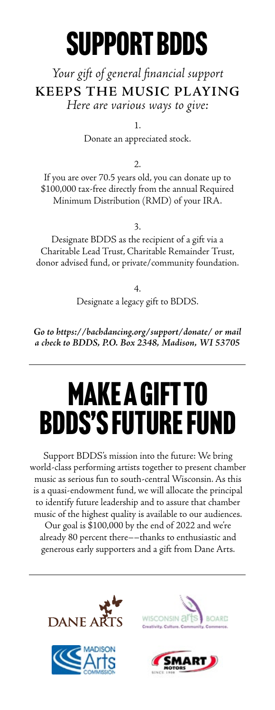# SUPPORT BDDS

## *Your gift of general financial support*  **KEEPS THE MUSIC PLAYING**  *Here are various ways to give:*

1.

Donate an appreciated stock.

2.

If you are over 70.5 years old, you can donate up to \$100,000 tax-free directly from the annual Required Minimum Distribution (RMD) of your IRA.

3.

Designate BDDS as the recipient of a gift via a Charitable Lead Trust, Charitable Remainder Trust, donor advised fund, or private/community foundation.

> 4. Designate a legacy gift to BDDS.

*Go to https://bachdancing.org/support/donate/ or mail a check to BDDS, P.O. Box 2348, Madison, WI 53705*

# Make a gift to BDDS's Future Fund

Support BDDS's mission into the future: We bring world-class performing artists together to present chamber music as serious fun to south-central Wisconsin. As this is a quasi-endowment fund, we will allocate the principal to identify future leadership and to assure that chamber music of the highest quality is available to our audiences. Our goal is \$100,000 by the end of 2022 and we're already 80 percent there––thanks to enthusiastic and generous early supporters and a gift from Dane Arts.